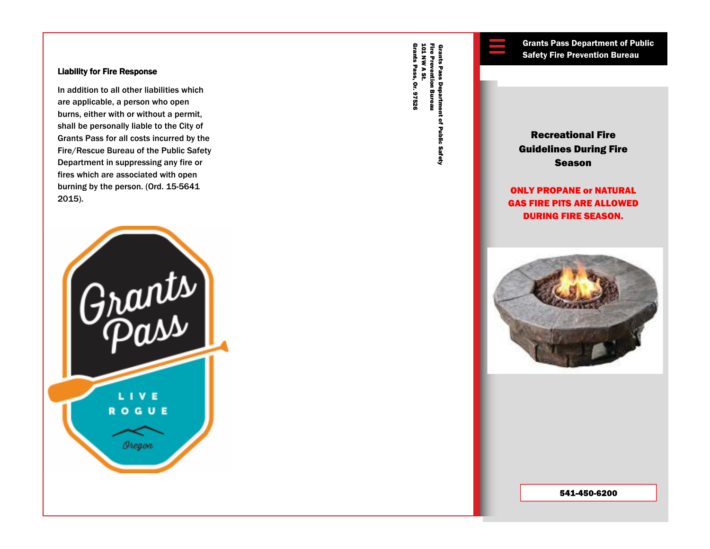### **Liability for Fire Response**

In addition to all other liabilities which are applicable, a person who open burns, either with or without a permit, shall be personally liable to the City of Grants Pass for all costs incurred by the Fire/Rescue Bureau of the Public Safety Department in suppressing any fire or fires which are associated with open burning by the person. (Ord. 15-5641 2015).



Grants Pass, Or. 97526 Grants Pass, Or. 97526 101 NW A St. Fire Prevention Bureau Fire Prevention Bureau<br>101 NW A St.

# Recreational Fire Guidelines During Fire Season Grants Pass Department of Public<br>
Safety Fire Prevention Bureau<br>
The pass of Public<br>
Safety Fire Prevention Bureau<br>
Recreational Fire<br>
Guidelines During Fire<br>
Season

ONLY PROPANE or NATURAL GAS FIRE PITS ARE ALLOWED DURING FIRE SEASON.



541-450-6200